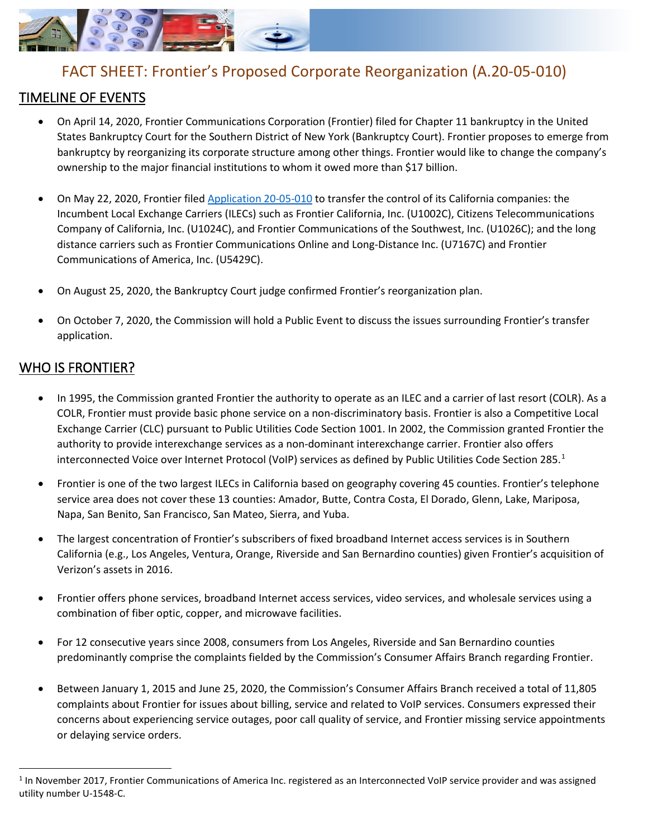

# FACT SHEET: Frontier's Proposed Corporate Reorganization (A.20-05-010)

## TIMELINE OF EVENTS

- On April 14, 2020, Frontier Communications Corporation (Frontier) filed for Chapter 11 bankruptcy in the United States Bankruptcy Court for the Southern District of New York (Bankruptcy Court). Frontier proposes to emerge from bankruptcy by reorganizing its corporate structure among other things. Frontier would like to change the company's ownership to the major financial institutions to whom it owed more than \$17 billion.
- On May 22, 2020, Frontier filed [Application 20-05-010](https://docs.cpuc.ca.gov/SearchRes.aspx?DocFormat=ALL&DocID=338276941) to transfer the control of its California companies: the Incumbent Local Exchange Carriers (ILECs) such as Frontier California, Inc. (U1002C), Citizens Telecommunications Company of California, Inc. (U1024C), and Frontier Communications of the Southwest, Inc. (U1026C); and the long distance carriers such as Frontier Communications Online and Long-Distance Inc. (U7167C) and Frontier Communications of America, Inc. (U5429C).
- On August 25, 2020, the Bankruptcy Court judge confirmed Frontier's reorganization plan.
- On October 7, 2020, the Commission will hold a Public Event to discuss the issues surrounding Frontier's transfer application.

#### WHO IS FRONTIER?

- In 1995, the Commission granted Frontier the authority to operate as an ILEC and a carrier of last resort (COLR). As a COLR, Frontier must provide basic phone service on a non-discriminatory basis. Frontier is also a Competitive Local Exchange Carrier (CLC) pursuant to Public Utilities Code Section 1001. In 2002, the Commission granted Frontier the authority to provide interexchange services as a non-dominant interexchange carrier. Frontier also offers interconnected Voice over Internet Protocol (VoIP) services as defined by Public Utilities Code Section 285. [1](#page-0-0)
- Frontier is one of the two largest ILECs in California based on geography covering 45 counties. Frontier's telephone service area does not cover these 13 counties: Amador, Butte, Contra Costa, El Dorado, Glenn, Lake, Mariposa, Napa, San Benito, San Francisco, San Mateo, Sierra, and Yuba.
- The largest concentration of Frontier's subscribers of fixed broadband Internet access services is in Southern California (e.g., Los Angeles, Ventura, Orange, Riverside and San Bernardino counties) given Frontier's acquisition of Verizon's assets in 2016.
- Frontier offers phone services, broadband Internet access services, video services, and wholesale services using a combination of fiber optic, copper, and microwave facilities.
- For 12 consecutive years since 2008, consumers from Los Angeles, Riverside and San Bernardino counties predominantly comprise the complaints fielded by the Commission's Consumer Affairs Branch regarding Frontier.
- Between January 1, 2015 and June 25, 2020, the Commission's Consumer Affairs Branch received a total of 11,805 complaints about Frontier for issues about billing, service and related to VoIP services. Consumers expressed their concerns about experiencing service outages, poor call quality of service, and Frontier missing service appointments or delaying service orders.

<span id="page-0-0"></span> $1$  In November 2017, Frontier Communications of America Inc. registered as an Interconnected VoIP service provider and was assigned utility number U-1548-C.